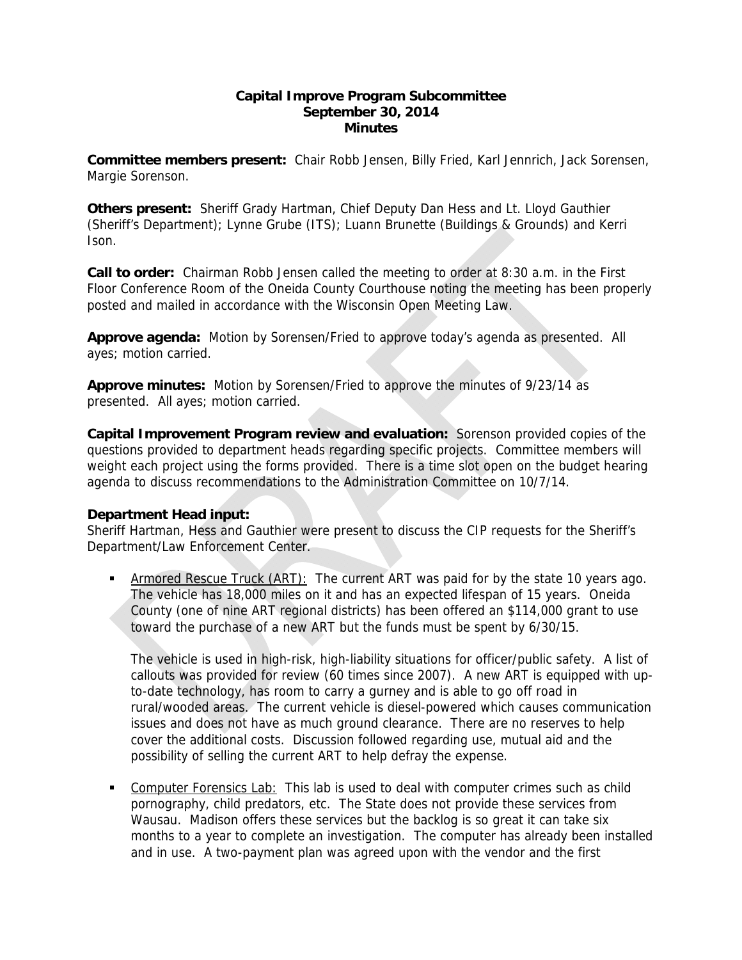## **Capital Improve Program Subcommittee September 30, 2014 Minutes**

**Committee members present:** Chair Robb Jensen, Billy Fried, Karl Jennrich, Jack Sorensen, Margie Sorenson.

**Others present:** Sheriff Grady Hartman, Chief Deputy Dan Hess and Lt. Lloyd Gauthier (Sheriff's Department); Lynne Grube (ITS); Luann Brunette (Buildings & Grounds) and Kerri Ison.

**Call to order:** Chairman Robb Jensen called the meeting to order at 8:30 a.m. in the First Floor Conference Room of the Oneida County Courthouse noting the meeting has been properly posted and mailed in accordance with the Wisconsin Open Meeting Law.

**Approve agenda:** Motion by Sorensen/Fried to approve today's agenda as presented. All ayes; motion carried.

**Approve minutes:** Motion by Sorensen/Fried to approve the minutes of 9/23/14 as presented. All ayes; motion carried.

**Capital Improvement Program review and evaluation:** Sorenson provided copies of the questions provided to department heads regarding specific projects. Committee members will weight each project using the forms provided. There is a time slot open on the budget hearing agenda to discuss recommendations to the Administration Committee on 10/7/14.

## **Department Head input:**

Sheriff Hartman, Hess and Gauthier were present to discuss the CIP requests for the Sheriff's Department/Law Enforcement Center.

 Armored Rescue Truck (ART): The current ART was paid for by the state 10 years ago. The vehicle has 18,000 miles on it and has an expected lifespan of 15 years. Oneida County (one of nine ART regional districts) has been offered an \$114,000 grant to use toward the purchase of a new ART but the funds must be spent by 6/30/15.

The vehicle is used in high-risk, high-liability situations for officer/public safety. A list of callouts was provided for review (60 times since 2007). A new ART is equipped with upto-date technology, has room to carry a gurney and is able to go off road in rural/wooded areas. The current vehicle is diesel-powered which causes communication issues and does not have as much ground clearance. There are no reserves to help cover the additional costs. Discussion followed regarding use, mutual aid and the possibility of selling the current ART to help defray the expense.

 Computer Forensics Lab: This lab is used to deal with computer crimes such as child pornography, child predators, etc. The State does not provide these services from Wausau. Madison offers these services but the backlog is so great it can take six months to a year to complete an investigation. The computer has already been installed and in use. A two-payment plan was agreed upon with the vendor and the first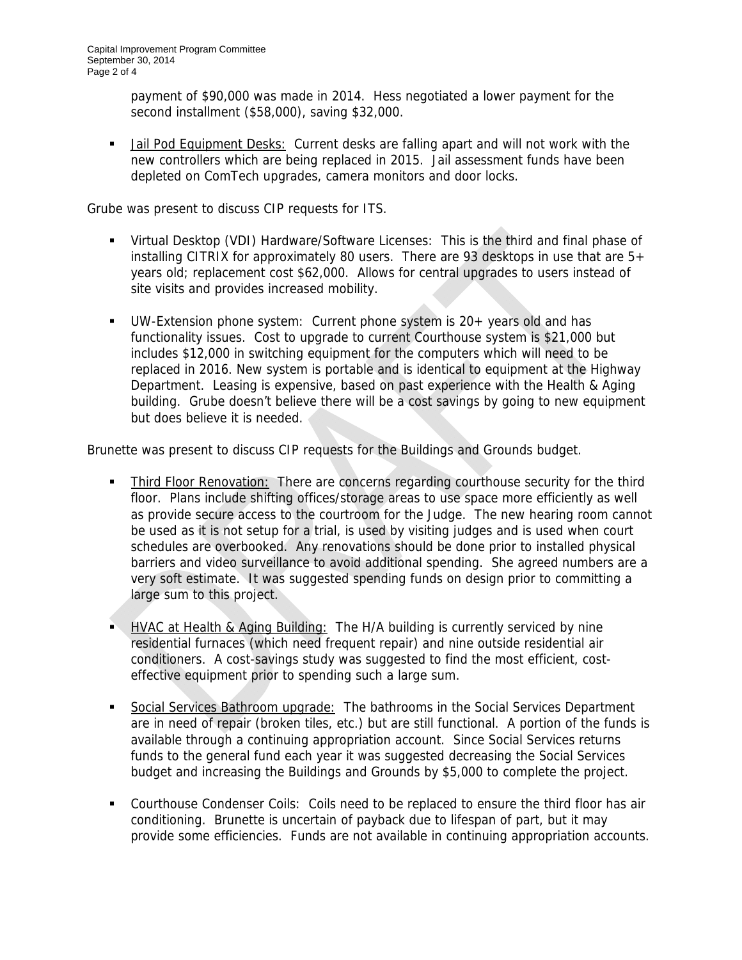payment of \$90,000 was made in 2014. Hess negotiated a lower payment for the second installment (\$58,000), saving \$32,000.

 Jail Pod Equipment Desks: Current desks are falling apart and will not work with the new controllers which are being replaced in 2015. Jail assessment funds have been depleted on ComTech upgrades, camera monitors and door locks.

Grube was present to discuss CIP requests for ITS.

- Virtual Desktop (VDI) Hardware/Software Licenses: This is the third and final phase of installing CITRIX for approximately 80 users. There are 93 desktops in use that are 5+ years old; replacement cost \$62,000. Allows for central upgrades to users instead of site visits and provides increased mobility.
- UW-Extension phone system: Current phone system is 20+ years old and has functionality issues. Cost to upgrade to current Courthouse system is \$21,000 but includes \$12,000 in switching equipment for the computers which will need to be replaced in 2016. New system is portable and is identical to equipment at the Highway Department. Leasing is expensive, based on past experience with the Health & Aging building. Grube doesn't believe there will be a cost savings by going to new equipment but does believe it is needed.

Brunette was present to discuss CIP requests for the Buildings and Grounds budget.

- Third Floor Renovation: There are concerns regarding courthouse security for the third floor. Plans include shifting offices/storage areas to use space more efficiently as well as provide secure access to the courtroom for the Judge. The new hearing room cannot be used as it is not setup for a trial, is used by visiting judges and is used when court schedules are overbooked. Any renovations should be done prior to installed physical barriers and video surveillance to avoid additional spending. She agreed numbers are a very soft estimate. It was suggested spending funds on design prior to committing a large sum to this project.
- **HVAC at Health & Aging Building:** The H/A building is currently serviced by nine residential furnaces (which need frequent repair) and nine outside residential air conditioners. A cost-savings study was suggested to find the most efficient, costeffective equipment prior to spending such a large sum.
- Social Services Bathroom upgrade: The bathrooms in the Social Services Department are in need of repair (broken tiles, etc.) but are still functional. A portion of the funds is available through a continuing appropriation account. Since Social Services returns funds to the general fund each year it was suggested decreasing the Social Services budget and increasing the Buildings and Grounds by \$5,000 to complete the project.
- Courthouse Condenser Coils: Coils need to be replaced to ensure the third floor has air conditioning. Brunette is uncertain of payback due to lifespan of part, but it may provide some efficiencies. Funds are not available in continuing appropriation accounts.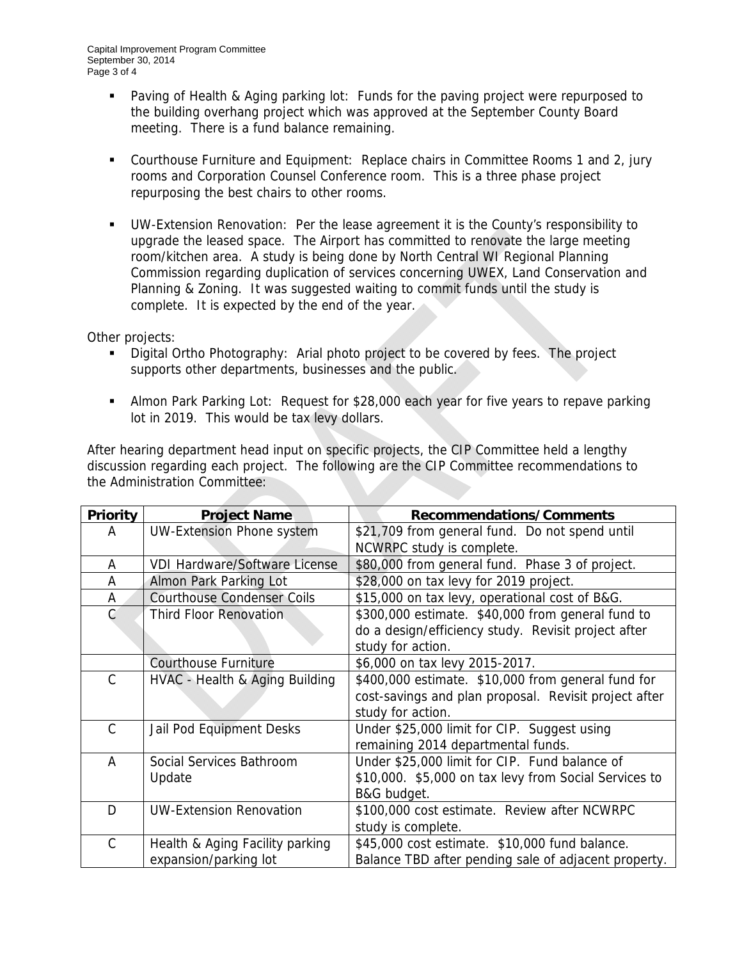- **Paving of Health & Aging parking lot: Funds for the paving project were repurposed to** the building overhang project which was approved at the September County Board meeting. There is a fund balance remaining.
- Courthouse Furniture and Equipment: Replace chairs in Committee Rooms 1 and 2, jury rooms and Corporation Counsel Conference room. This is a three phase project repurposing the best chairs to other rooms.
- UW-Extension Renovation: Per the lease agreement it is the County's responsibility to upgrade the leased space. The Airport has committed to renovate the large meeting room/kitchen area. A study is being done by North Central WI Regional Planning Commission regarding duplication of services concerning UWEX, Land Conservation and Planning & Zoning. It was suggested waiting to commit funds until the study is complete. It is expected by the end of the year.

Other projects:

- **Digital Ortho Photography:** Arial photo project to be covered by fees. The project supports other departments, businesses and the public.
- Almon Park Parking Lot: Request for \$28,000 each year for five years to repave parking lot in 2019. This would be tax levy dollars.

After hearing department head input on specific projects, the CIP Committee held a lengthy discussion regarding each project. The following are the CIP Committee recommendations to the Administration Committee:

| <b>Priority</b> | <b>Project Name</b>                  | Recommendations/Comments                              |
|-----------------|--------------------------------------|-------------------------------------------------------|
| A               | <b>UW-Extension Phone system</b>     | \$21,709 from general fund. Do not spend until        |
|                 |                                      | NCWRPC study is complete.                             |
| A               | <b>VDI Hardware/Software License</b> | \$80,000 from general fund. Phase 3 of project.       |
| A               | Almon Park Parking Lot               | \$28,000 on tax levy for 2019 project.                |
| A               | <b>Courthouse Condenser Coils</b>    | \$15,000 on tax levy, operational cost of B&G.        |
| C               | <b>Third Floor Renovation</b>        | \$300,000 estimate. \$40,000 from general fund to     |
|                 |                                      | do a design/efficiency study. Revisit project after   |
|                 |                                      | study for action.                                     |
|                 | <b>Courthouse Furniture</b>          | \$6,000 on tax levy 2015-2017.                        |
| C               | HVAC - Health & Aging Building       | \$400,000 estimate. \$10,000 from general fund for    |
|                 |                                      | cost-savings and plan proposal. Revisit project after |
|                 |                                      | study for action.                                     |
| C               | Jail Pod Equipment Desks             | Under \$25,000 limit for CIP. Suggest using           |
|                 |                                      | remaining 2014 departmental funds.                    |
| A               | Social Services Bathroom             | Under \$25,000 limit for CIP. Fund balance of         |
|                 | Update                               | \$10,000. \$5,000 on tax levy from Social Services to |
|                 |                                      | B&G budget.                                           |
| D               | <b>UW-Extension Renovation</b>       | \$100,000 cost estimate. Review after NCWRPC          |
|                 |                                      | study is complete.                                    |
| C               | Health & Aging Facility parking      | \$45,000 cost estimate. \$10,000 fund balance.        |
|                 | expansion/parking lot                | Balance TBD after pending sale of adjacent property.  |